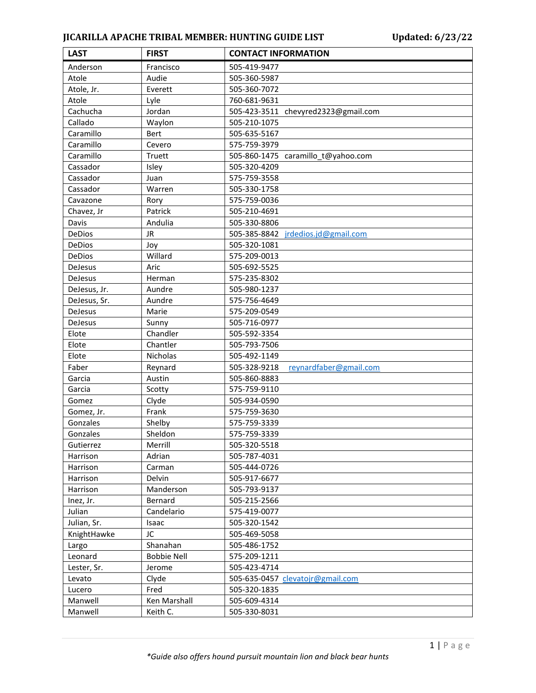## **JICARILLA APACHE TRIBAL MEMBER: HUNTING GUIDE LIST Updated: 6/23/22**

| <b>LAST</b>    | <b>FIRST</b>       | <b>CONTACT INFORMATION</b>             |
|----------------|--------------------|----------------------------------------|
| Anderson       | Francisco          | 505-419-9477                           |
| Atole          | Audie              | 505-360-5987                           |
| Atole, Jr.     | Everett            | 505-360-7072                           |
| Atole          | Lyle               | 760-681-9631                           |
| Cachucha       | Jordan             | 505-423-3511 chevyred2323@gmail.com    |
| Callado        | Waylon             | 505-210-1075                           |
| Caramillo      | <b>Bert</b>        | 505-635-5167                           |
| Caramillo      | Cevero             | 575-759-3979                           |
| Caramillo      | Truett             | 505-860-1475 caramillo_t@yahoo.com     |
| Cassador       | Isley              | 505-320-4209                           |
| Cassador       | Juan               | 575-759-3558                           |
| Cassador       | Warren             | 505-330-1758                           |
| Cavazone       | Rory               | 575-759-0036                           |
| Chavez, Jr     | Patrick            | 505-210-4691                           |
| Davis          | Andulia            | 505-330-8806                           |
| DeDios         | <b>JR</b>          | 505-385-8842<br>jrdedios.jd@gmail.com  |
| DeDios         | Joy                | 505-320-1081                           |
| DeDios         | Willard            | 575-209-0013                           |
| <b>DeJesus</b> | Aric               | 505-692-5525                           |
| <b>DeJesus</b> | Herman             | 575-235-8302                           |
| DeJesus, Jr.   | Aundre             | 505-980-1237                           |
| DeJesus, Sr.   | Aundre             | 575-756-4649                           |
| DeJesus        | Marie              | 575-209-0549                           |
| <b>DeJesus</b> | Sunny              | 505-716-0977                           |
| Elote          | Chandler           | 505-592-3354                           |
| Elote          | Chantler           | 505-793-7506                           |
| Elote          | Nicholas           | 505-492-1149                           |
| Faber          | Reynard            | 505-328-9218<br>reynardfaber@gmail.com |
| Garcia         | Austin             | 505-860-8883                           |
| Garcia         | Scotty             | 575-759-9110                           |
| Gomez          | Clyde              | 505-934-0590                           |
| Gomez, Jr.     | Frank              | 575-759-3630                           |
| Gonzales       | Shelby             | 575-759-3339                           |
| Gonzales       | Sheldon            | 575-759-3339                           |
| Gutierrez      | Merrill            | 505-320-5518                           |
| Harrison       | Adrian             | 505-787-4031                           |
| Harrison       | Carman             | 505-444-0726                           |
| Harrison       | Delvin             | 505-917-6677                           |
| Harrison       | Manderson          | 505-793-9137                           |
| Inez, Jr.      | Bernard            | 505-215-2566                           |
| Julian         | Candelario         | 575-419-0077                           |
| Julian, Sr.    | Isaac              | 505-320-1542                           |
| KnightHawke    | JC                 | 505-469-5058                           |
| Largo          | Shanahan           | 505-486-1752                           |
| Leonard        | <b>Bobbie Nell</b> | 575-209-1211                           |
| Lester, Sr.    | Jerome             | 505-423-4714                           |
| Levato         | Clyde              | 505-635-0457 clevatojr@gmail.com       |
| Lucero         | Fred               | 505-320-1835                           |
| Manwell        | Ken Marshall       | 505-609-4314                           |
| Manwell        | Keith C.           | 505-330-8031                           |
|                |                    |                                        |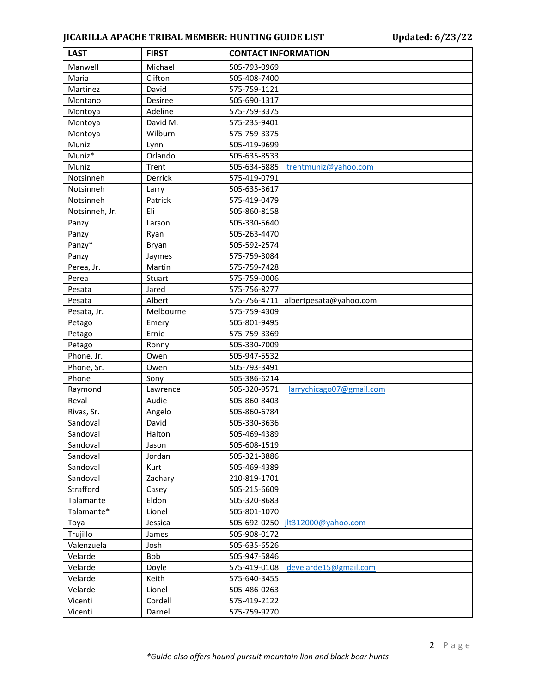## **JICARILLA APACHE TRIBAL MEMBER: HUNTING GUIDE LIST Updated: 6/23/22**

| <b>LAST</b>    | <b>FIRST</b> | <b>CONTACT INFORMATION</b>               |
|----------------|--------------|------------------------------------------|
| Manwell        | Michael      | 505-793-0969                             |
| Maria          | Clifton      | 505-408-7400                             |
| Martinez       | David        | 575-759-1121                             |
| Montano        | Desiree      | 505-690-1317                             |
| Montoya        | Adeline      | 575-759-3375                             |
| Montoya        | David M.     | 575-235-9401                             |
| Montoya        | Wilburn      | 575-759-3375                             |
| Muniz          | Lynn         | 505-419-9699                             |
| Muniz*         | Orlando      | 505-635-8533                             |
| Muniz          | Trent        | 505-634-6885<br>trentmuniz@yahoo.com     |
| Notsinneh      | Derrick      | 575-419-0791                             |
| Notsinneh      | Larry        | 505-635-3617                             |
| Notsinneh      | Patrick      | 575-419-0479                             |
| Notsinneh, Jr. | Eli          | 505-860-8158                             |
| Panzy          | Larson       | 505-330-5640                             |
| Panzy          | Ryan         | 505-263-4470                             |
| Panzy*         | Bryan        | 505-592-2574                             |
| Panzy          | Jaymes       | 575-759-3084                             |
| Perea, Jr.     | Martin       | 575-759-7428                             |
| Perea          | Stuart       | 575-759-0006                             |
| Pesata         | Jared        | 575-756-8277                             |
| Pesata         | Albert       | 575-756-4711 albertpesata@yahoo.com      |
| Pesata, Jr.    | Melbourne    | 575-759-4309                             |
| Petago         | Emery        | 505-801-9495                             |
| Petago         | Ernie        | 575-759-3369                             |
| Petago         | Ronny        | 505-330-7009                             |
| Phone, Jr.     | Owen         | 505-947-5532                             |
| Phone, Sr.     | Owen         | 505-793-3491                             |
| Phone          | Sony         | 505-386-6214                             |
| Raymond        | Lawrence     | 505-320-9571<br>larrychicago07@gmail.com |
| Reval          | Audie        | 505-860-8403                             |
| Rivas, Sr.     | Angelo       | 505-860-6784                             |
| Sandoval       | David        | 505-330-3636                             |
| Sandoval       | Halton       | 505-469-4389                             |
| Sandoval       | Jason        | 505-608-1519                             |
| Sandoval       | Jordan       | 505-321-3886                             |
| Sandoval       | Kurt         | 505-469-4389                             |
| Sandoval       | Zachary      | 210-819-1701                             |
| Strafford      | Casey        | 505-215-6609                             |
| Talamante      | Eldon        | 505-320-8683                             |
| Talamante*     | Lionel       | 505-801-1070                             |
| Toya           | Jessica      | 505-692-0250 jlt312000@yahoo.com         |
| Trujillo       | James        | 505-908-0172                             |
| Valenzuela     | Josh         | 505-635-6526                             |
| Velarde        | Bob          | 505-947-5846                             |
| Velarde        | Doyle        | 575-419-0108<br>develarde15@gmail.com    |
| Velarde        | Keith        | 575-640-3455                             |
| Velarde        | Lionel       | 505-486-0263                             |
| Vicenti        | Cordell      | 575-419-2122                             |
| Vicenti        | Darnell      | 575-759-9270                             |